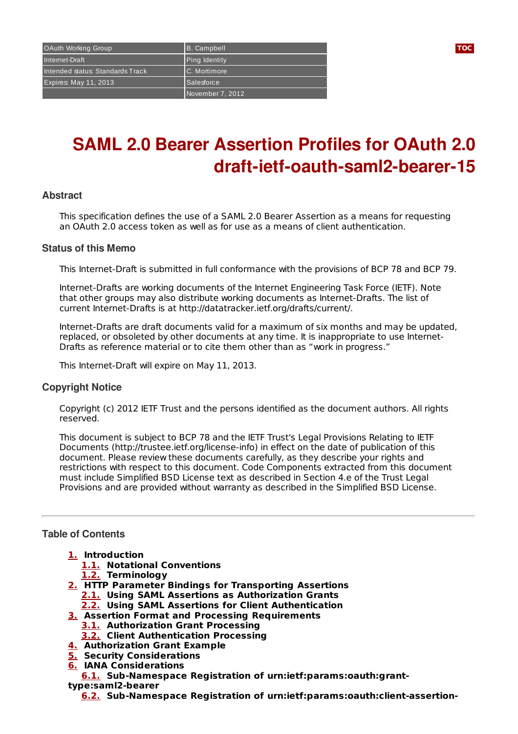# **SAML 2.0 Bearer Assertion Profiles for OAuth 2.0 draft-ietf-oauth-saml2-bearer-15**

# **Abstract**

This specification defines the use of a SAML 2.0 Bearer Assertion as a means for requesting an OAuth 2.0 access token as well as for use as a means of client authentication.

#### **Status of this Memo**

This Internet-Draft is submitted in full conformance with the provisions of BCP 78 and BCP 79.

Internet-Drafts are working documents of the Internet Engineering Task Force (IETF). Note that other groups may also distribute working documents as Internet-Drafts. The list of current Internet-Drafts is at http://datatracker.ietf.org/drafts/current/.

Internet-Drafts are draft documents valid for a maximum of six months and may be updated, replaced, or obsoleted by other documents at any time. It is inappropriate to use Internet-Drafts as reference material or to cite them other than as "work in progress."

This Internet-Draft will expire on May 11, 2013.

# **Copyright Notice**

Copyright (c) 2012 IETF Trust and the persons identified as the document authors. All rights reserved.

This document is subject to BCP 78 and the IETF Trust's Legal Provisions Relating to IETF Documents (http://trustee.ietf.org/license-info) in effect on the date of publication of this document. Please review these documents carefully, as they describe your rights and restrictions with respect to this document. Code Components extracted from this document must include Simplified BSD License text as described in Section 4.e of the Trust Legal Provisions and are provided without warranty as described in the Simplified BSD License.

# <span id="page-0-0"></span>**Table of Contents**

- **[1.](#page-1-0) Introduction**
	- **[1.1.](#page-1-1) Notational Conventions**
	- **[1.2.](#page-2-0) Terminology**
- **[2.](#page-2-1) HTTP Parameter Bindings for Transporting Assertions**
	- **[2.1.](#page-2-2) Using SAML Assertions as Authorization Grants**
	- **[2.2.](#page-2-3) Using SAML Assertions for Client Authentication**
- **[3.](#page-3-0) Assertion Format and Processing Requirements**
	- **[3.1.](#page-4-0) Authorization Grant Processing**
	- **[3.2.](#page-4-1) Client Authentication Processing**
- **[4.](#page-4-2) Authorization Grant Example**
- **[5.](#page-5-0) Security Considerations**
- **[6.](#page-6-0) IANA Considerations**

**[6.1.](#page-6-1) Sub-Namespace Registration of urn:ietf:params:oauth:grant-**

**type:saml2-bearer**

**[6.2.](#page-6-2) Sub-Namespace Registration of urn:ietf:params:oauth:client-assertion-**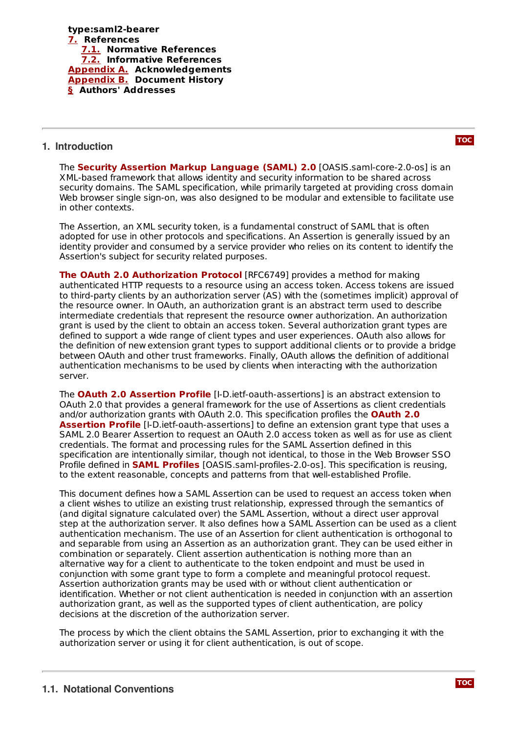

## <span id="page-1-0"></span>**1. Introduction**

**The Security Assertion Markup [Language](#page-6-5) (SAML) 2.0** [OASIS.saml-core-2.0-os] is an XML-based framework that allows identity and security information to be shared across security domains. The SAML specification, while primarily targeted at providing cross domain Web browser single sign-on, was also designed to be modular and extensible to facilitate use in other contexts.

The Assertion, an XML security token, is a fundamental construct of SAML that is often adopted for use in other protocols and specifications. An Assertion is generally issued by an identity provider and consumed by a service provider who relies on its content to identify the Assertion's subject for security related purposes.

**The OAuth 2.0 [Authorization](#page-6-6) Protocol** [RFC6749] provides a method for making authenticated HTTP requests to a resource using an access token. Access tokens are issued to third-party clients by an authorization server (AS) with the (sometimes implicit) approval of the resource owner. In OAuth, an authorization grant is an abstract term used to describe intermediate credentials that represent the resource owner authorization. An authorization grant is used by the client to obtain an access token. Several authorization grant types are defined to support a wide range of client types and user experiences. OAuth also allows for the definition of new extension grant types to support additional clients or to provide a bridge between OAuth and other trust frameworks. Finally, OAuth allows the definition of additional authentication mechanisms to be used by clients when interacting with the authorization server.

**The OAuth 2.0 [Assertion](#page-6-7) Profile** [I-D.ietf-oauth-assertions] is an abstract extension to OAuth 2.0 that provides a general framework for the use of Assertions as client credentials and/or [authorization](#page-6-7) grants with OAuth 2.0. This specification profiles the **OAuth 2.0 Assertion Profile** [I-D.ietf-oauth-assertions] to define an extension grant type that uses a SAML 2.0 Bearer Assertion to request an OAuth 2.0 access token as well as for use as client credentials. The format and processing rules for the SAML Assertion defined in this specification are intentionally similar, though not identical, to those in the Web Browser SSO Profile defined in **SAML [Profiles](#page-6-8)** [OASIS.saml-profiles-2.0-os]. This specification is reusing, to the extent reasonable, concepts and patterns from that well-established Profile.

This document defines how a SAML Assertion can be used to request an access token when a client wishes to utilize an existing trust relationship, expressed through the semantics of (and digital signature calculated over) the SAML Assertion, without a direct user approval step at the authorization server. It also defines how a SAML Assertion can be used as a client authentication mechanism. The use of an Assertion for client authentication is orthogonal to and separable from using an Assertion as an authorization grant. They can be used either in combination or separately. Client assertion authentication is nothing more than an alternative way for a client to authenticate to the token endpoint and must be used in conjunction with some grant type to form a complete and meaningful protocol request. Assertion authorization grants may be used with or without client authentication or identification. Whether or not client authentication is needed in conjunction with an assertion authorization grant, as well as the supported types of client authentication, are policy decisions at the discretion of the authorization server.

<span id="page-1-1"></span>The process by which the client obtains the SAML Assertion, prior to exchanging it with the authorization server or using it for client authentication, is out of scope.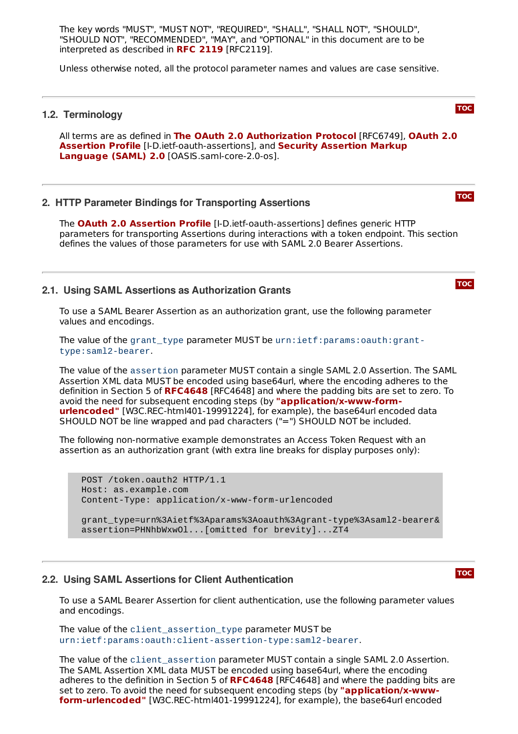The key words "MUST", "MUST NOT", "REQUIRED", "SHALL", "SHALL NOT", "SHOULD", "SHOULD NOT", "RECOMMENDED", "MAY", and "OPTIONAL" in this document are to be interpreted as described in **RFC [2119](#page-6-9)** [RFC2119].

<span id="page-2-0"></span>Unless otherwise noted, all the protocol parameter names and values are case sensitive.

#### **1.2. Terminology**

All terms are as defined in [RFC6749], **The OAuth 2.0 [Authorization](#page-6-7) Protocol OAuth 2.0 Assertion Profile** [I-D.ietf-oauth-[assertions\],](#page-6-5) and Security Assertion Markup **Language (SAML) 2.0** [OASIS.saml-core-2.0-os].

#### <span id="page-2-1"></span>**2. HTTP Parameter Bindings for Transporting Assertions**

**The OAuth 2.0 [Assertion](#page-6-7) Profile** [I-D.ietf-oauth-assertions] defines generic HTTP parameters for transporting Assertions during interactions with a token endpoint. This section defines the values of those parameters for use with SAML 2.0 Bearer Assertions.

#### <span id="page-2-2"></span>**2.1. Using SAML Assertions as Authorization Grants**

To use a SAML Bearer Assertion as an authorization grant, use the following parameter values and encodings.

The value of the grant type parameter MUST be urn:ietf:params:oauth:granttype:saml2-bearer.

The value of the assertion parameter MUST contain a single SAML 2.0 Assertion. The SAML Assertion XML data MUST be encoded using base64url, where the encoding adheres to the definition in Section 5 of [RFC4648](#page-6-10) [RFC4648] and where the padding bits are set to zero. To avoid the need for subsequent encoding steps (by **["application/x-www-form](#page-7-2)**urlencoded" [W3C.REC-html401-19991224], for example), the base64url encoded data SHOULD NOT be line wrapped and pad characters ("=") SHOULD NOT be included.

The following non-normative example demonstrates an Access Token Request with an assertion as an authorization grant (with extra line breaks for display purposes only):

POST /token.oauth2 HTTP/1.1 Host: as.example.com Content-Type: application/x-www-form-urlencoded

grant\_type=urn%3Aietf%3Aparams%3Aoauth%3Agrant-type%3Asaml2-bearer& assertion=PHNhbWxwOl...[omitted for brevity]...ZT4

#### <span id="page-2-3"></span>**2.2. Using SAML Assertions for Client Authentication**

To use a SAML Bearer Assertion for client authentication, use the following parameter values and encodings.

The value of the client\_assertion\_type parameter MUST be urn:ietf:params:oauth:client-assertion-type:saml2-bearer.

The value of the client\_assertion parameter MUST contain a single SAML 2.0 Assertion. The SAML Assertion XML data MUST be encoded using base64url, where the encoding adheres to the definition in Section 5 of [RFC4648](#page-6-10) [RFC4648] and where the padding bits are set to zero. To avoid the need for subsequent encoding steps (by **["application/x-www](#page-7-2)form-urlencoded"** [W3C.REC-html401-19991224], for example), the base64url encoded

# **[TOC](#page-0-0)**

**[TOC](#page-0-0)**

**[TOC](#page-0-0)**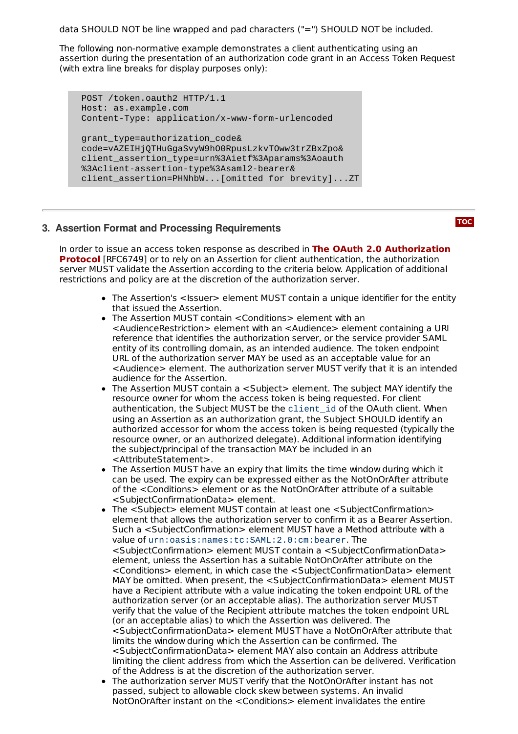data SHOULD NOT be line wrapped and pad characters ("=") SHOULD NOT be included.

The following non-normative example demonstrates a client authenticating using an assertion during the presentation of an authorization code grant in an Access Token Request (with extra line breaks for display purposes only):

```
POST /token.oauth2 HTTP/1.1
Host: as.example.com
Content-Type: application/x-www-form-urlencoded
grant_type=authorization_code&
code=vAZEIHjQTHuGgaSvyW9hO0RpusLzkvTOww3trZBxZpo&
client_assertion_type=urn%3Aietf%3Aparams%3Aoauth
%3Aclient-assertion-type%3Asaml2-bearer&
client_assertion=PHNhbW...[omitted for brevity]...ZT
```
# <span id="page-3-0"></span>**3. Assertion Format and Processing Requirements**

In order to issue an access token response as described in **The OAuth 2.0 [Authorization](#page-6-6) Protocol** [RFC6749] or to rely on an Assertion for client authentication, the authorization server MUST validate the Assertion according to the criteria below. Application of additional restrictions and policy are at the discretion of the authorization server.

- The Assertion's <Issuer> element MUST contain a unique identifier for the entity that issued the Assertion.
- The Assertion MUST contain <Conditions> element with an <AudienceRestriction> element with an <Audience> element containing a URI reference that identifies the authorization server, or the service provider SAML entity of its controlling domain, as an intended audience. The token endpoint URL of the authorization server MAY be used as an acceptable value for an <Audience> element. The authorization server MUST verify that it is an intended audience for the Assertion.
- The Assertion MUST contain a <Subject> element. The subject MAY identify the resource owner for whom the access token is being requested. For client authentication, the Subject MUST be the client\_id of the OAuth client. When using an Assertion as an authorization grant, the Subject SHOULD identify an authorized accessor for whom the access token is being requested (typically the resource owner, or an authorized delegate). Additional information identifying the subject/principal of the transaction MAY be included in an <AttributeStatement>.
- The Assertion MUST have an expiry that limits the time window during which it can be used. The expiry can be expressed either as the NotOnOrAfter attribute of the <Conditions> element or as the NotOnOrAfter attribute of a suitable <SubjectConfirmationData> element.
- The <Subject> element MUST contain at least one <SubjectConfirmation> element that allows the authorization server to confirm it as a Bearer Assertion. Such a <SubjectConfirmation> element MUST have a Method attribute with a value of urn:oasis:names:tc:SAML:2.0:cm:bearer. The <SubjectConfirmation> element MUST contain a <SubjectConfirmationData> element, unless the Assertion has a suitable NotOnOrAfter attribute on the <Conditions> element, in which case the <SubjectConfirmationData> element MAY be omitted. When present, the <SubjectConfirmationData> element MUST have a Recipient attribute with a value indicating the token endpoint URL of the authorization server (or an acceptable alias). The authorization server MUST verify that the value of the Recipient attribute matches the token endpoint URL (or an acceptable alias) to which the Assertion was delivered. The <SubjectConfirmationData> element MUST have a NotOnOrAfter attribute that limits the window during which the Assertion can be confirmed. The <SubjectConfirmationData> element MAY also contain an Address attribute limiting the client address from which the Assertion can be delivered. Verification of the Address is at the discretion of the authorization server.
- The authorization server MUST verify that the NotOnOrAfter instant has not passed, subject to allowable clock skew between systems. An invalid NotOnOrAfter instant on the <Conditions> element invalidates the entire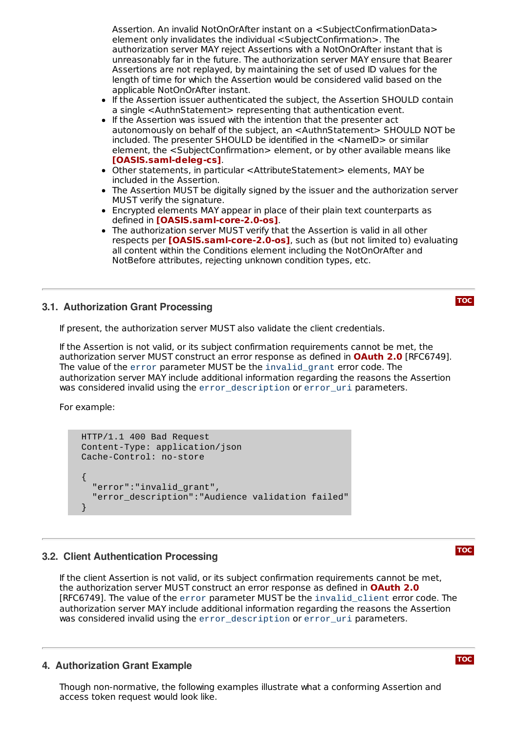Assertion. An invalid NotOnOrAfter instant on a <SubjectConfirmationData> element only invalidates the individual <SubjectConfirmation>. The authorization server MAY reject Assertions with a NotOnOrAfter instant that is unreasonably far in the future. The authorization server MAY ensure that Bearer Assertions are not replayed, by maintaining the set of used ID values for the length of time for which the Assertion would be considered valid based on the applicable NotOnOrAfter instant.

- $\bullet$ If the Assertion issuer authenticated the subject, the Assertion SHOULD contain a single <AuthnStatement> representing that authentication event.
- $\bullet$  If the Assertion was issued with the intention that the presenter act autonomously on behalf of the subject, an <AuthnStatement> SHOULD NOT be included. The presenter SHOULD be identified in the <NameID> or similar element, the <SubjectConfirmation> element, or by other available means like . **[\[OASIS.saml](#page-6-11)‑deleg‑cs]**
- Other statements, in particular <AttributeStatement> elements, MAY be included in the Assertion.
- The Assertion MUST be digitally signed by the issuer and the authorization server MUST verify the signature.
- Encrypted elements MAY appear in place of their plain text counterparts as defined in . **[\[OASIS.saml](#page-6-5)‑core‑2.0‑os]**
- The authorization server MUST verify that the Assertion is valid in all other **respects per [\[OASIS.saml](#page-6-5)-core-2.0-os]**, such as (but not limited to) evaluating all content within the Conditions element including the NotOnOrAfter and NotBefore attributes, rejecting unknown condition types, etc.

# <span id="page-4-0"></span>**3.1. Authorization Grant Processing**

**[TOC](#page-0-0)**

If present, the authorization server MUST also validate the client credentials.

If the Assertion is not valid, or its subject confirmation requirements cannot be met, the authorization server MUST construct an error response as defined in **[OAuth](#page-6-6) 2.0** [RFC6749]. The value of the error parameter MUST be the invalid\_grant error code. The authorization server MAY include additional information regarding the reasons the Assertion was considered invalid using the error\_description or error\_uri parameters.

For example:

```
HTTP/1.1 400 Bad Request
Content-Type: application/json
Cache-Control: no-store
{
  "error":"invalid_grant",
  "error_description":"Audience validation failed"
}
```
#### <span id="page-4-1"></span>**3.2. Client Authentication Processing**

If the client Assertion is not valid, or its subject confirmation requirements cannot be met, the authorization server MUST construct an error response as defined in **[OAuth](#page-6-6) 2.0**[RFC6749]. The value of the error parameter MUST be the invalid\_client error code. The authorization server MAY include additional information regarding the reasons the Assertion was considered invalid using the error description or error uri parameters.

#### <span id="page-4-2"></span>**4. Authorization Grant Example**

Though non-normative, the following examples illustrate what a conforming Assertion and access token request would look like.

**[TOC](#page-0-0)**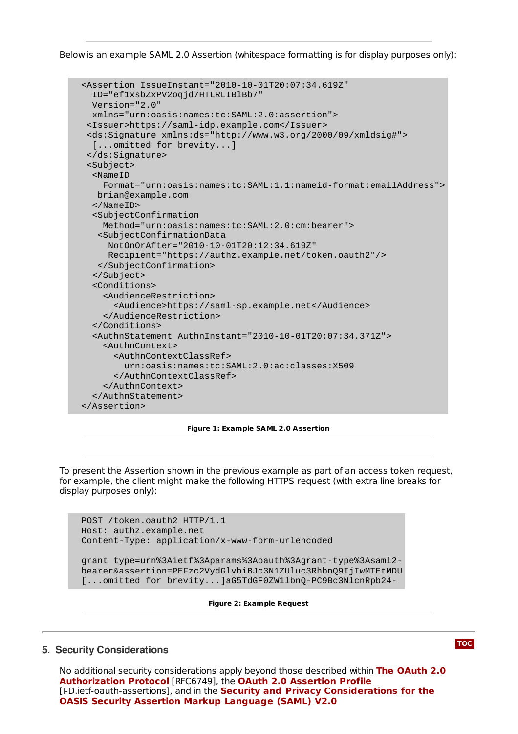Below is an example SAML 2.0 Assertion (whitespace formatting is for display purposes only):

```
<Assertion IssueInstant="2010-10-01T20:07:34.619Z"
  ID="ef1xsbZxPV2oqjd7HTLRLIBlBb7"
  Version="2.0"
  xmlns="urn:oasis:names:tc:SAML:2.0:assertion">
 <Issuer>https://saml-idp.example.com</Issuer>
 <ds:Signature xmlns:ds="http://www.w3.org/2000/09/xmldsig#">
  [...omitted for brevity...]
 </ds:Signature>
 <Subject>
  <NameID
    Format="urn:oasis:names:tc:SAML:1.1:nameid-format:emailAddress">
   brian@example.com
  </NameID>
  <SubjectConfirmation
    Method="urn:oasis:names:tc:SAML:2.0:cm:bearer">
   <SubjectConfirmationData
     NotOnOrAfter="2010-10-01T20:12:34.619Z"
     Recipient="https://authz.example.net/token.oauth2"/>
   </SubjectConfirmation>
  </Subject>
  <Conditions>
    <AudienceRestriction>
      <Audience>https://saml-sp.example.net</Audience>
    </AudienceRestriction>
  </Conditions>
  <AuthnStatement AuthnInstant="2010-10-01T20:07:34.371Z">
    <AuthnContext>
      <AuthnContextClassRef>
        urn:oasis:names:tc:SAML:2.0:ac:classes:X509
      </AuthnContextClassRef>
    </AuthnContext>
  </AuthnStatement>
</Assertion>
```
#### **Figure 1: Example SAML 2.0 Assertion**

To present the Assertion shown in the previous example as part of an access token request, for example, the client might make the following HTTPS request (with extra line breaks for display purposes only):

```
POST /token.oauth2 HTTP/1.1
Host: authz.example.net
Content-Type: application/x-www-form-urlencoded
```

```
grant_type=urn%3Aietf%3Aparams%3Aoauth%3Agrant-type%3Asaml2-
bearer&assertion=PEFzc2VydGlvbiBJc3N1ZUluc3RhbnQ9IjIwMTEtMDU
[...omitted for brevity...]aG5TdGF0ZW1lbnQ-PC9Bc3NlcnRpb24-
```
**Figure 2: Example Request**

#### <span id="page-5-0"></span>**5. Security Considerations**

No additional security [considerations](#page-6-6) apply beyond those described within **The OAuth 2.0** [RFC6749], the **Authorization Protocol OAuth 2.0 [Assertion](#page-6-7) Profile** [I‑D.ietf‑oauth‑assertions], and in the **Security and Privacy [Considerations](#page-6-12) for the OASIS Security Assertion Markup Language (SAML) V2.0**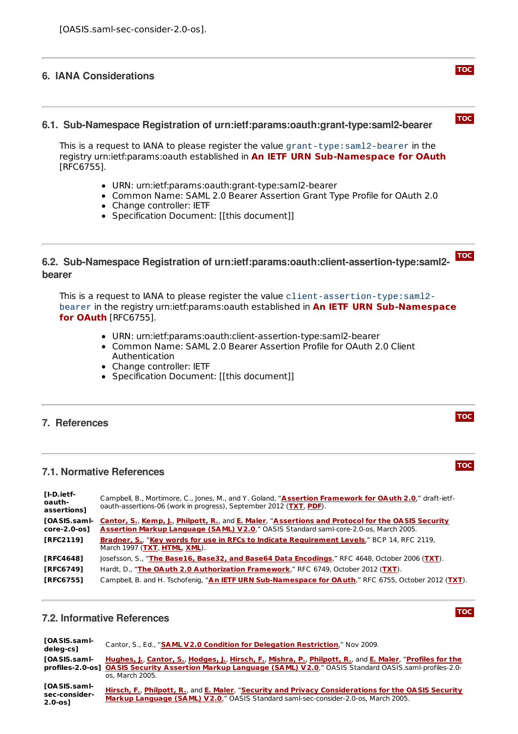#### <span id="page-6-1"></span><span id="page-6-0"></span>**6. IANA Considerations**

#### **6.1. Sub-Namespace Registration of urn:ietf:params:oauth:grant-type:saml2-bearer**

This is a request to IANA to please register the value grant-type:saml2-bearer in the registry urn:ietf:params:oauth established in **An IETF URN [Sub-Namespace](#page-6-13) for OAuth** [RFC6755].

- URN: urn:ietf:params:oauth:grant-type:saml2-bearer
- Common Name: SAML 2.0 Bearer Assertion Grant Type Profile for OAuth 2.0
- Change controller: IETF
- Specification Document: [[this document]]

#### <span id="page-6-2"></span>**[TOC](#page-0-0) 6.2. Sub-Namespace Registration of urn:ietf:params:oauth:client-assertion-type:saml2 bearer**

This is a request to IANA to please register the value client-assertion-type:saml2 bearer in the registry [urn:ietf:params:oauth](#page-6-13) established in **An IETF URN Sub-Namespace for OAuth** [RFC6755].

- URN: urn:ietf:params:oauth:client-assertion-type:saml2-bearer
- Common Name: SAML 2.0 Bearer Assertion Profile for OAuth 2.0 Client Authentication
- Change controller: IETF
- Specification Document: [[this document]]

## <span id="page-6-3"></span>**7. References**

# **7.1. Normative References**

<span id="page-6-9"></span><span id="page-6-7"></span><span id="page-6-5"></span>

| [I-D.ietf-<br>oauth-<br>assertions] | Campbell, B., Mortimore, C., Jones, M., and Y. Goland, "Assertion Framework for OAuth 2.0," draft-ietf-<br>oauth-assertions-06 (work in progress), September 2012 (TXT, PDF).             |
|-------------------------------------|-------------------------------------------------------------------------------------------------------------------------------------------------------------------------------------------|
| [OA SIS.sam l-<br>core-2.0-os]      | Cantor, S., Kemp, J., Philpott, R., and E. Maler, "Assertions and Protocol for the OASIS Security<br>Assertion Markup Language (SAML) V2.0," OASIS Standard saml-core-2.0-os, March 2005. |
| <b>TRFC21191</b>                    | Bradner, S., "Key words for use in RFCs to Indicate Requirement Levels," BCP 14, RFC 2119,<br>March 1997 (TXT, HTML, XML).                                                                |
| <b>TRFC46481</b>                    | Josefsson, S., "The Base16, Base32, and Base64 Data Encodings," RFC 4648, October 2006 (TXT).                                                                                             |
| [RFC6749]                           | Hardt, D., "The OAuth 2.0 Authorization Framework," RFC 6749, October 2012 (TXT).                                                                                                         |
| <b>TRFC67551</b>                    | Campbell, B. and H. Tschofenig, "An IETF URN Sub-Namespace for OAuth," RFC 6755, October 2012 (TXT).                                                                                      |

#### <span id="page-6-13"></span><span id="page-6-10"></span><span id="page-6-6"></span><span id="page-6-4"></span>**7.2. Informative References**

**[TOC](#page-0-0)**

<span id="page-6-12"></span><span id="page-6-11"></span><span id="page-6-8"></span>

| [OA SIS.saml-<br>deleg-cs]                    | Cantor, S., Ed., "SAML V2.0 Condition for Delegation Restriction," Nov 2009.                                                                                                                                                                    |
|-----------------------------------------------|-------------------------------------------------------------------------------------------------------------------------------------------------------------------------------------------------------------------------------------------------|
| <b>TOASIS.samI-</b>                           | Hughes, J., Cantor, S., Hodges, J., Hirsch, F., Mishra, P., Philpott, R., and E. Maler, "Profiles for the<br>profiles-2.0-os] OASIS Security Assertion Markup Language (SAML) V2.0," OASIS Standard OASIS saml-profiles-2.0-<br>os. March 2005. |
| [OA SIS.samI-<br>sec-consider-<br>$2.0 - os]$ | Hirsch, F., Philpott, R., and E. Maler, "Security and Privacy Considerations for the OASIS Security<br>Markup Language (SAML) V2.0," OASIS Standard saml-sec-consider-2.0-os, March 2005.                                                       |

# **[TOC](#page-0-0)**

**[TOC](#page-0-0)**

**[TOC](#page-0-0)**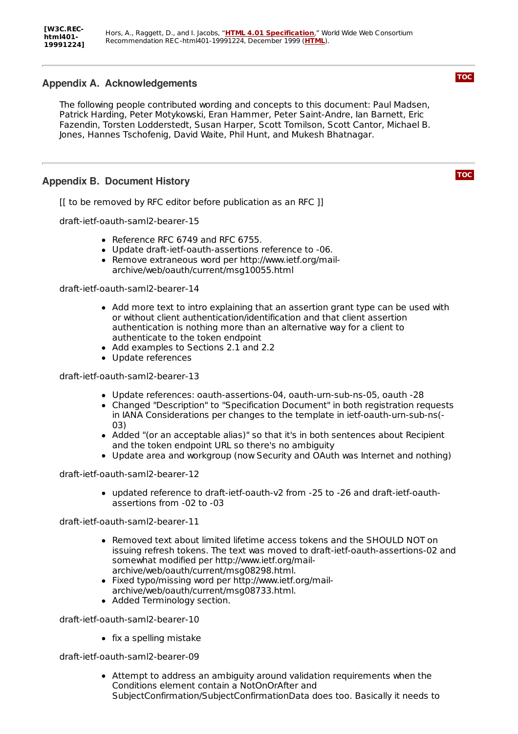# <span id="page-7-2"></span><span id="page-7-0"></span>**Appendix A. Acknowledgements**

The following people contributed wording and concepts to this document: Paul Madsen, Patrick Harding, Peter Motykowski, Eran Hammer, Peter Saint-Andre, Ian Barnett, Eric Fazendin, Torsten Lodderstedt, Susan Harper, Scott Tomilson, Scott Cantor, Michael B. Jones, Hannes Tschofenig, David Waite, Phil Hunt, and Mukesh Bhatnagar.

# <span id="page-7-1"></span>**Appendix B. Document History**

[[ to be removed by RFC editor before publication as an RFC ]]

draft-ietf-oauth-saml2-bearer-15

- Reference RFC 6749 and RFC 6755.
- Update draft-ietf-oauth-assertions reference to -06.
- Remove extraneous word per http://www.ietf.org/mailarchive/web/oauth/current/msg10055.html

draft-ietf-oauth-saml2-bearer-14

- Add more text to intro explaining that an assertion grant type can be used with or without client authentication/identification and that client assertion authentication is nothing more than an alternative way for a client to authenticate to the token endpoint
- Add examples to Sections 2.1 and 2.2
- Update references

draft-ietf-oauth-saml2-bearer-13

- Update references: oauth-assertions-04, oauth-urn-sub-ns-05, oauth -28
- Changed "Description" to "Specification Document" in both registration requests in IANA Considerations per changes to the template in ietf-oauth-urn-sub-ns(- 03)
- Added "(or an acceptable alias)" so that it's in both sentences about Recipient and the token endpoint URL so there's no ambiguity
- Update area and workgroup (now Security and OAuth was Internet and nothing)

draft-ietf-oauth-saml2-bearer-12

updated reference to draft-ietf-oauth-v2 from -25 to -26 and draft-ietf-oauthassertions from -02 to -03

draft-ietf-oauth-saml2-bearer-11

- Removed text about limited lifetime access tokens and the SHOULD NOT on issuing refresh tokens. The text was moved to draft-ietf-oauth-assertions-02 and somewhat modified per http://www.ietf.org/mailarchive/web/oauth/current/msg08298.html.
- Fixed typo/missing word per http://www.ietf.org/mailarchive/web/oauth/current/msg08733.html.
- Added Terminology section.

draft-ietf-oauth-saml2-bearer-10

 $\bullet$  fix a spelling mistake

draft-ietf-oauth-saml2-bearer-09

Attempt to address an ambiguity around validation requirements when the Conditions element contain a NotOnOrAfter and SubjectConfirmation/SubjectConfirmationData does too. Basically it needs to **[TOC](#page-0-0)**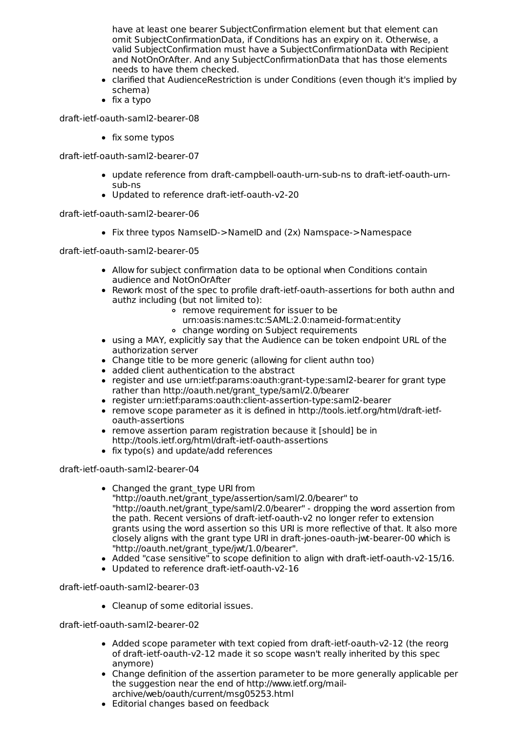have at least one bearer SubjectConfirmation element but that element can omit SubjectConfirmationData, if Conditions has an expiry on it. Otherwise, a valid SubjectConfirmation must have a SubjectConfirmationData with Recipient and NotOnOrAfter. And any SubjectConfirmationData that has those elements needs to have them checked.

- clarified that AudienceRestriction is under Conditions (even though it's implied by schema)
- $\bullet$  fix a typo

draft-ietf-oauth-saml2-bearer-08

• fix some typos

draft-ietf-oauth-saml2-bearer-07

- update reference from draft-campbell-oauth-urn-sub-ns to draft-ietf-oauth-urnsub-ns
- Updated to reference draft-ietf-oauth-v2-20

draft-ietf-oauth-saml2-bearer-06

• Fix three typos NamseID->NameID and (2x) Namspace->Namespace

draft-ietf-oauth-saml2-bearer-05

- Allow for subject confirmation data to be optional when Conditions contain audience and NotOnOrAfter
- Rework most of the spec to profile draft-ietf-oauth-assertions for both authn and authz including (but not limited to):
	- remove requirement for issuer to be
	- urn:oasis:names:tc:SAML:2.0:nameid-format:entity
	- change wording on Subject requirements
- using a MAY, explicitly say that the Audience can be token endpoint URL of the authorization server
- Change title to be more generic (allowing for client authn too)
- added client authentication to the abstract
- register and use urn:ietf:params:oauth:grant-type:saml2-bearer for grant type rather than http://oauth.net/grant\_type/saml/2.0/bearer
- register urn:ietf:params:oauth:client-assertion-type:saml2-bearer
- remove scope parameter as it is defined in http://tools.ietf.org/html/draft-ietfoauth-assertions
- remove assertion param registration because it [should] be in http://tools.ietf.org/html/draft-ietf-oauth-assertions
- fix typo(s) and update/add references

draft-ietf-oauth-saml2-bearer-04

- Changed the grant type URI from "http://oauth.net/grant\_type/assertion/saml/2.0/bearer" to "http://oauth.net/grant\_type/saml/2.0/bearer" - dropping the word assertion from the path. Recent versions of draft-ietf-oauth-v2 no longer refer to extension grants using the word assertion so this URI is more reflective of that. It also more closely aligns with the grant type URI in draft-jones-oauth-jwt-bearer-00 which is "http://oauth.net/grant\_type/jwt/1.0/bearer".
- Added "case sensitive" to scope definition to align with draft-ietf-oauth-v2-15/16.
- Updated to reference draft-ietf-oauth-v2-16

draft-ietf-oauth-saml2-bearer-03

Cleanup of some editorial issues.

draft-ietf-oauth-saml2-bearer-02

- Added scope parameter with text copied from draft-ietf-oauth-v2-12 (the reorg of draft-ietf-oauth-v2-12 made it so scope wasn't really inherited by this spec anymore)
- Change definition of the assertion parameter to be more generally applicable per the suggestion near the end of http://www.ietf.org/mailarchive/web/oauth/current/msg05253.html
- Editorial changes based on feedback